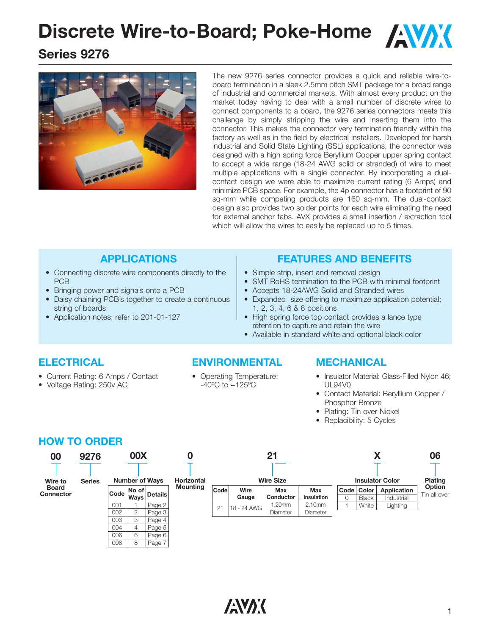

## **Series 9276**



The new 9276 series connector provides a quick and reliable wire-toboard termination in a sleek 2.5mm pitch SMT package for a broad range of industrial and commercial markets. With almost every product on the market today having to deal with a small number of discrete wires to connect components to a board, the 9276 series connectors meets this challenge by simply stripping the wire and inserting them into the connector. This makes the connector very termination friendly within the factory as well as in the field by electrical installers. Developed for harsh industrial and Solid State Lighting (SSL) applications, the connector was designed with a high spring force Beryllium Copper upper spring contact to accept a wide range (18-24 AWG solid or stranded) of wire to meet multiple applications with a single connector. By incorporating a dualcontact design we were able to maximize current rating (6 Amps) and minimize PCB space. For example, the 4p connector has a footprint of 90 sq-mm while competing products are 160 sq-mm. The dual-contact design also provides two solder points for each wire eliminating the need for external anchor tabs. AVX provides a small insertion / extraction tool which will allow the wires to easily be replaced up to 5 times.

### **APPLICATIONS**

- Connecting discrete wire components directly to the PCB
- Bringing power and signals onto a PCB
- Daisy chaining PCB's together to create a continuous string of boards

006 6 Page 6<br>008 8 Page 7

Page 7

• Application notes; refer to 201-01-127

### **FEATURES AND BENEFITS**

- Simple strip, insert and removal design
- SMT RoHS termination to the PCB with minimal footprint
- Accepts 18-24AWG Solid and Stranded wires
- Expanded size offering to maximize application potential; 1, 2, 3, 4, 6 & 8 positions
- High spring force top contact provides a lance type retention to capture and retain the wire
- Available in standard white and optional black color

### **ELECTRICAL**

- Current Rating: 6 Amps / Contact
- Voltage Rating: 250v AC

#### **ENVIRONMENTAL**

• Operating Temperature: -40ºC to +125ºC

#### **MECHANICAL**

- Insulator Material: Glass-Filled Nylon 46; UL94V0
- Contact Material: Beryllium Copper / Phosphor Bronze
- Plating: Tin over Nickel
- Replacibility: 5 Cycles

### **HOW TO ORDER**

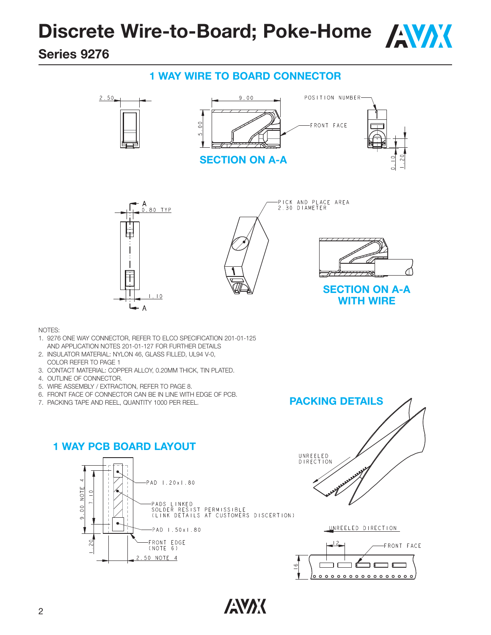

**Series 9276**

### **1 WAY WIRE TO BOARD CONNECTOR**



**ANAK** 

NOTES: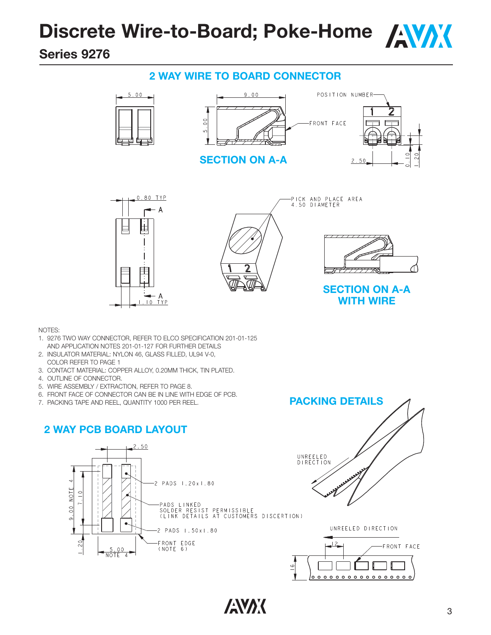

## **Series 9276**

NOTES:

## **2 WAY WIRE TO BOARD CONNECTOR**

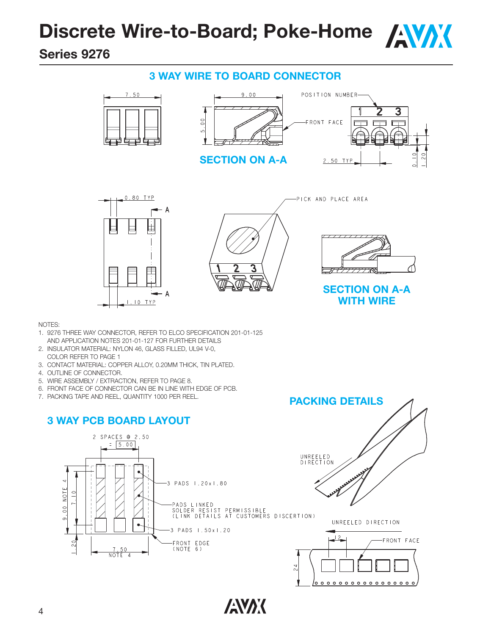

## **Series 9276**

## **3 WAY WIRE TO BOARD CONNECTOR**



NOTES: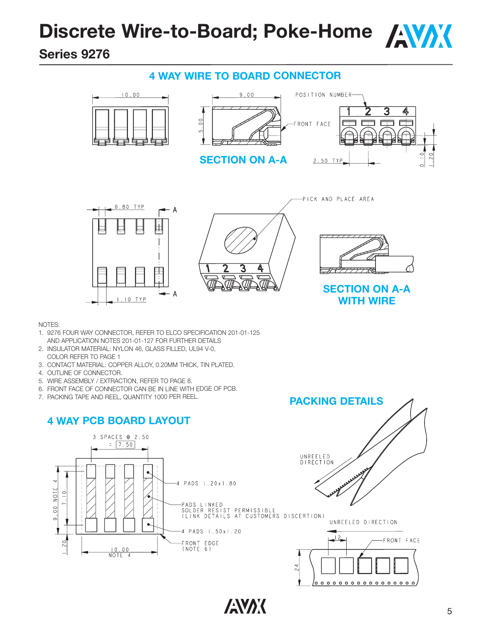

**Series 9276**

### **4 WAY WIRE TO BOARD CONNECTOR**



**PACKING DETAILS**

NOTES:

- 1. 9276 FOUR WAY CONNECTOR, REFER TO ELCO SPECIFICATION 201-01-125 AND APPLICATION NOTES 201-01-127 FOR FURTHER DETAILS
- 2. INSULATOR MATERIAL: NYLON 46, GLASS FILLED, UL94 V-0, COLOR REFER TO PAGE 1
- 3. CONTACT MATERIAL: COPPER ALLOY, 0.20MM THICK, TIN PLATED.
- 4. OUTLINE OF CONNECTOR.
- 5. WIRE ASSEMBLY / EXTRACTION, REFER TO PAGE 8.
- 6. FRONT FACE OF CONNECTOR CAN BE IN LINE WITH EDGE OF PCB.
- 7. PACKING TAPE AND REEL, QUANTITY 1000 PER REEL.

### **4 WAY PCB BOARD LAYOUT**



**ANAK**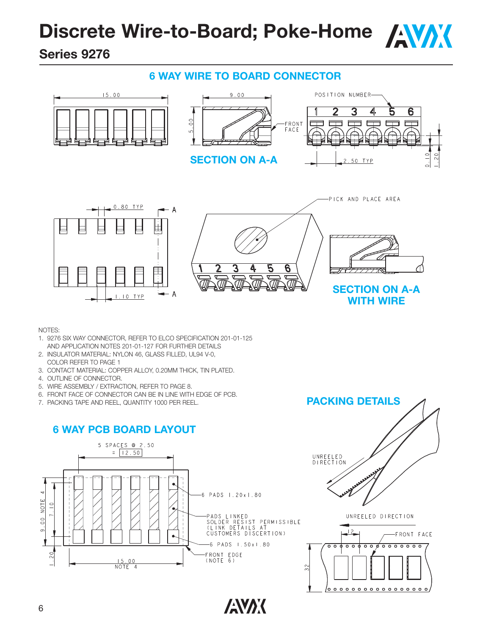

**Series 9276**

### **6 WAY WIRE TO BOARD CONNECTOR**



NOTES:

- 1. 9276 SIX WAY CONNECTOR, REFER TO ELCO SPECIFICATION 201-01-125 AND APPLICATION NOTES 201-01-127 FOR FURTHER DETAILS
- 2. INSULATOR MATERIAL: NYLON 46, GLASS FILLED, UL94 V-0, COLOR REFER TO PAGE 1
- 3. CONTACT MATERIAL: COPPER ALLOY, 0.20MM THICK, TIN PLATED.
- 4. OUTLINE OF CONNECTOR.
- 5. WIRE ASSEMBLY / EXTRACTION, REFER TO PAGE 8.
- 6. FRONT FACE OF CONNECTOR CAN BE IN LINE WITH EDGE OF PCB.
- 7. PACKING TAPE AND REEL, QUANTITY 1000 PER REEL.



**PACKING DETAILS** UNREELED **DIRECTION** UNREELED DIRECTION  $\overline{2}$ 



**ANAK**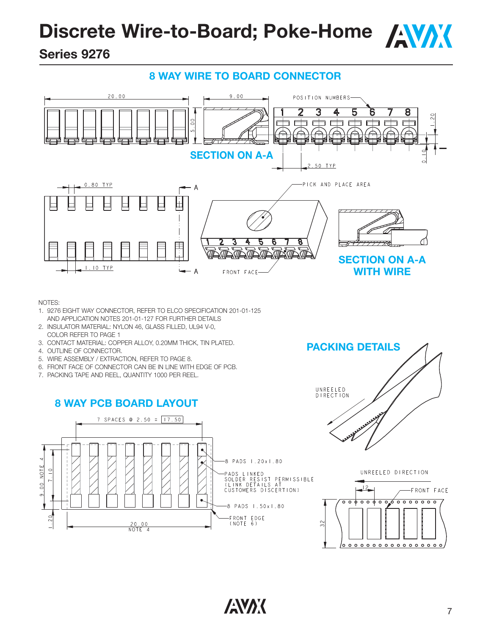

## **Series 9276**





#### NOTES:

- 1. 9276 EIGHT WAY CONNECTOR, REFER TO ELCO SPECIFICATION 201-01-125 AND APPLICATION NOTES 201-01-127 FOR FURTHER DETAILS
- 2. INSULATOR MATERIAL: NYLON 46, GLASS FILLED, UL94 V-0, COLOR REFER TO PAGE 1
- 3. CONTACT MATERIAL: COPPER ALLOY, 0.20MM THICK, TIN PLATED.
- 4. OUTLINE OF CONNECTOR.
- 5. WIRE ASSEMBLY / EXTRACTION, REFER TO PAGE 8.
- 6. FRONT FACE OF CONNECTOR CAN BE IN LINE WITH EDGE OF PCB.
- 7. PACKING TAPE AND REEL, QUANTITY 1000 PER REEL.

### **8 WAY PCB BOARD LAYOUT**



**PACKING DETAILS** UNREELED **DIRECTION** 



**ANAK**